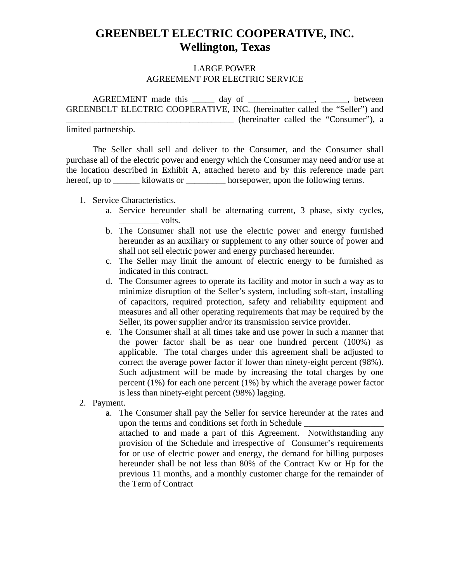## **GREENBELT ELECTRIC COOPERATIVE, INC. Wellington, Texas**

## LARGE POWER AGREEMENT FOR ELECTRIC SERVICE

AGREEMENT made this \_\_\_\_\_ day of \_\_\_\_\_\_\_\_\_\_\_\_\_\_\_, \_\_\_\_\_\_, between GREENBELT ELECTRIC COOPERATIVE, INC. (hereinafter called the "Seller") and \_\_\_\_\_\_\_\_\_\_\_\_\_\_\_\_\_\_\_\_\_\_\_\_\_\_\_\_\_\_\_\_\_\_\_\_\_\_ (hereinafter called the "Consumer"), a

limited partnership.

 The Seller shall sell and deliver to the Consumer, and the Consumer shall purchase all of the electric power and energy which the Consumer may need and/or use at the location described in Exhibit A, attached hereto and by this reference made part hereof, up to \_\_\_\_\_\_\_ kilowatts or \_\_\_\_\_\_\_\_\_\_ horsepower, upon the following terms.

- 1. Service Characteristics.
	- a. Service hereunder shall be alternating current, 3 phase, sixty cycles,  $\rule{1em}{0.15mm}$  volts.
	- b. The Consumer shall not use the electric power and energy furnished hereunder as an auxiliary or supplement to any other source of power and shall not sell electric power and energy purchased hereunder.
	- c. The Seller may limit the amount of electric energy to be furnished as indicated in this contract.
	- d. The Consumer agrees to operate its facility and motor in such a way as to minimize disruption of the Seller's system, including soft-start, installing of capacitors, required protection, safety and reliability equipment and measures and all other operating requirements that may be required by the Seller, its power supplier and/or its transmission service provider.
	- e. The Consumer shall at all times take and use power in such a manner that the power factor shall be as near one hundred percent (100%) as applicable. The total charges under this agreement shall be adjusted to correct the average power factor if lower than ninety-eight percent (98%). Such adjustment will be made by increasing the total charges by one percent (1%) for each one percent (1%) by which the average power factor is less than ninety-eight percent (98%) lagging.
- 2. Payment.

a. The Consumer shall pay the Seller for service hereunder at the rates and upon the terms and conditions set forth in Schedule \_\_\_\_\_\_\_\_\_\_\_\_\_\_\_\_\_\_ attached to and made a part of this Agreement. Notwithstanding any provision of the Schedule and irrespective of Consumer's requirements for or use of electric power and energy, the demand for billing purposes hereunder shall be not less than 80% of the Contract Kw or Hp for the previous 11 months, and a monthly customer charge for the remainder of the Term of Contract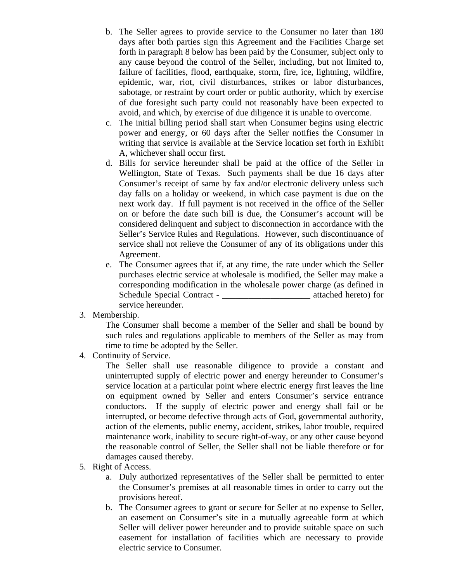- b. The Seller agrees to provide service to the Consumer no later than 180 days after both parties sign this Agreement and the Facilities Charge set forth in paragraph 8 below has been paid by the Consumer, subject only to any cause beyond the control of the Seller, including, but not limited to, failure of facilities, flood, earthquake, storm, fire, ice, lightning, wildfire, epidemic, war, riot, civil disturbances, strikes or labor disturbances, sabotage, or restraint by court order or public authority, which by exercise of due foresight such party could not reasonably have been expected to avoid, and which, by exercise of due diligence it is unable to overcome.
- c. The initial billing period shall start when Consumer begins using electric power and energy, or 60 days after the Seller notifies the Consumer in writing that service is available at the Service location set forth in Exhibit A, whichever shall occur first.
- d. Bills for service hereunder shall be paid at the office of the Seller in Wellington, State of Texas. Such payments shall be due 16 days after Consumer's receipt of same by fax and/or electronic delivery unless such day falls on a holiday or weekend, in which case payment is due on the next work day. If full payment is not received in the office of the Seller on or before the date such bill is due, the Consumer's account will be considered delinquent and subject to disconnection in accordance with the Seller's Service Rules and Regulations. However, such discontinuance of service shall not relieve the Consumer of any of its obligations under this Agreement.
- e. The Consumer agrees that if, at any time, the rate under which the Seller purchases electric service at wholesale is modified, the Seller may make a corresponding modification in the wholesale power charge (as defined in Schedule Special Contract - \_\_\_\_\_\_\_\_\_\_\_\_\_\_\_\_\_\_\_\_\_\_\_\_\_\_ attached hereto) for service hereunder.
- 3. Membership.

The Consumer shall become a member of the Seller and shall be bound by such rules and regulations applicable to members of the Seller as may from time to time be adopted by the Seller.

4. Continuity of Service.

The Seller shall use reasonable diligence to provide a constant and uninterrupted supply of electric power and energy hereunder to Consumer's service location at a particular point where electric energy first leaves the line on equipment owned by Seller and enters Consumer's service entrance conductors. If the supply of electric power and energy shall fail or be interrupted, or become defective through acts of God, governmental authority, action of the elements, public enemy, accident, strikes, labor trouble, required maintenance work, inability to secure right-of-way, or any other cause beyond the reasonable control of Seller, the Seller shall not be liable therefore or for damages caused thereby.

- 5. Right of Access.
	- a. Duly authorized representatives of the Seller shall be permitted to enter the Consumer's premises at all reasonable times in order to carry out the provisions hereof.
	- b. The Consumer agrees to grant or secure for Seller at no expense to Seller, an easement on Consumer's site in a mutually agreeable form at which Seller will deliver power hereunder and to provide suitable space on such easement for installation of facilities which are necessary to provide electric service to Consumer.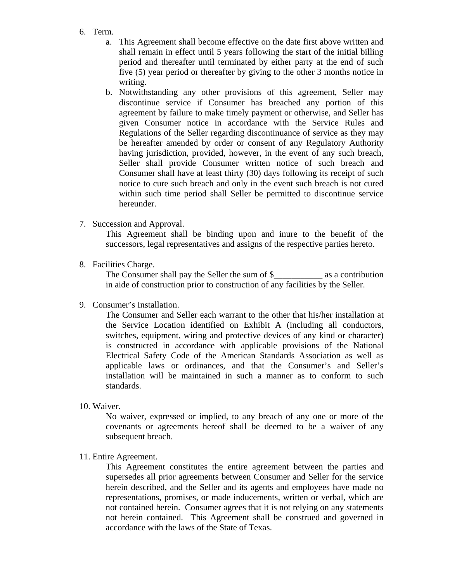- 6. Term.
	- a. This Agreement shall become effective on the date first above written and shall remain in effect until 5 years following the start of the initial billing period and thereafter until terminated by either party at the end of such five (5) year period or thereafter by giving to the other 3 months notice in writing.
	- b. Notwithstanding any other provisions of this agreement, Seller may discontinue service if Consumer has breached any portion of this agreement by failure to make timely payment or otherwise, and Seller has given Consumer notice in accordance with the Service Rules and Regulations of the Seller regarding discontinuance of service as they may be hereafter amended by order or consent of any Regulatory Authority having jurisdiction, provided, however, in the event of any such breach, Seller shall provide Consumer written notice of such breach and Consumer shall have at least thirty (30) days following its receipt of such notice to cure such breach and only in the event such breach is not cured within such time period shall Seller be permitted to discontinue service hereunder.
- 7. Succession and Approval.

This Agreement shall be binding upon and inure to the benefit of the successors, legal representatives and assigns of the respective parties hereto.

8. Facilities Charge.

The Consumer shall pay the Seller the sum of \$\_\_\_\_\_\_\_\_\_\_\_\_\_ as a contribution in aide of construction prior to construction of any facilities by the Seller.

9. Consumer's Installation.

The Consumer and Seller each warrant to the other that his/her installation at the Service Location identified on Exhibit A (including all conductors, switches, equipment, wiring and protective devices of any kind or character) is constructed in accordance with applicable provisions of the National Electrical Safety Code of the American Standards Association as well as applicable laws or ordinances, and that the Consumer's and Seller's installation will be maintained in such a manner as to conform to such standards.

10. Waiver.

No waiver, expressed or implied, to any breach of any one or more of the covenants or agreements hereof shall be deemed to be a waiver of any subsequent breach.

11. Entire Agreement.

This Agreement constitutes the entire agreement between the parties and supersedes all prior agreements between Consumer and Seller for the service herein described, and the Seller and its agents and employees have made no representations, promises, or made inducements, written or verbal, which are not contained herein. Consumer agrees that it is not relying on any statements not herein contained. This Agreement shall be construed and governed in accordance with the laws of the State of Texas.